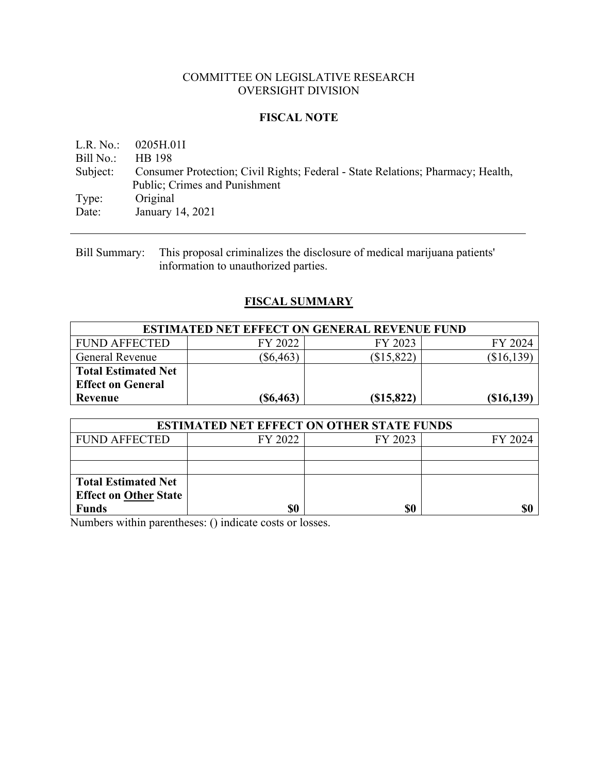### COMMITTEE ON LEGISLATIVE RESEARCH OVERSIGHT DIVISION

### **FISCAL NOTE**

L.R. No.: 0205H.01I Bill No.: HB 198 Subject: Consumer Protection; Civil Rights; Federal - State Relations; Pharmacy; Health, Public; Crimes and Punishment Type: Original Date: January 14, 2021

Bill Summary: This proposal criminalizes the disclosure of medical marijuana patients' information to unauthorized parties.

# **FISCAL SUMMARY**

| <b>ESTIMATED NET EFFECT ON GENERAL REVENUE FUND</b> |             |            |              |  |  |  |  |
|-----------------------------------------------------|-------------|------------|--------------|--|--|--|--|
| <b>FUND AFFECTED</b>                                | FY 2022     | FY 2023    | FY 2024      |  |  |  |  |
| General Revenue                                     | $(\$6,463)$ | (\$15,822) | (\$16,139)   |  |  |  |  |
| <b>Total Estimated Net</b>                          |             |            |              |  |  |  |  |
| <b>Effect on General</b>                            |             |            |              |  |  |  |  |
| Revenue                                             | (S6, 463)   | (S15, 822) | $(\$16,139)$ |  |  |  |  |

| <b>ESTIMATED NET EFFECT ON OTHER STATE FUNDS</b> |         |         |         |  |  |  |  |
|--------------------------------------------------|---------|---------|---------|--|--|--|--|
| <b>FUND AFFECTED</b>                             | FY 2022 | FY 2023 | FY 2024 |  |  |  |  |
|                                                  |         |         |         |  |  |  |  |
|                                                  |         |         |         |  |  |  |  |
| <b>Total Estimated Net</b>                       |         |         |         |  |  |  |  |
| <b>Effect on Other State</b>                     |         |         |         |  |  |  |  |
| <b>Funds</b>                                     | \$0     | \$0     |         |  |  |  |  |

Numbers within parentheses: () indicate costs or losses.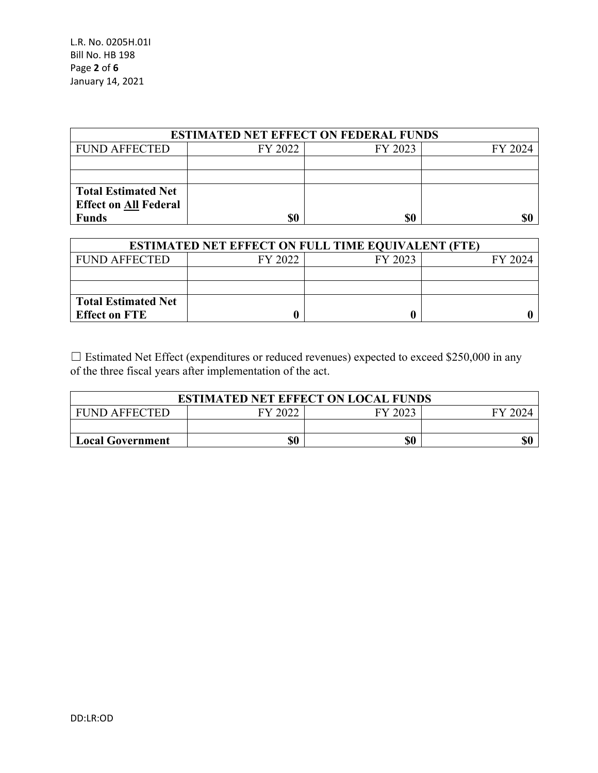L.R. No. 0205H.01I Bill No. HB 198 Page **2** of **6** January 14, 2021

| <b>ESTIMATED NET EFFECT ON FEDERAL FUNDS</b> |         |         |         |  |  |  |  |
|----------------------------------------------|---------|---------|---------|--|--|--|--|
| <b>FUND AFFECTED</b>                         | FY 2022 | FY 2023 | FY 2024 |  |  |  |  |
|                                              |         |         |         |  |  |  |  |
|                                              |         |         |         |  |  |  |  |
| <b>Total Estimated Net</b>                   |         |         |         |  |  |  |  |
| <b>Effect on All Federal</b>                 |         |         |         |  |  |  |  |
| <b>Funds</b>                                 |         | \$0     |         |  |  |  |  |

| <b>ESTIMATED NET EFFECT ON FULL TIME EQUIVALENT (FTE)</b> |         |         |         |  |  |  |  |
|-----------------------------------------------------------|---------|---------|---------|--|--|--|--|
| <b>FUND AFFECTED</b>                                      | FY 2022 | FY 2023 | FY 2024 |  |  |  |  |
|                                                           |         |         |         |  |  |  |  |
|                                                           |         |         |         |  |  |  |  |
| <b>Total Estimated Net</b>                                |         |         |         |  |  |  |  |
| <b>Effect on FTE</b>                                      |         |         |         |  |  |  |  |

☐ Estimated Net Effect (expenditures or reduced revenues) expected to exceed \$250,000 in any of the three fiscal years after implementation of the act.

| <b>ESTIMATED NET EFFECT ON LOCAL FUNDS</b> |  |  |  |  |  |  |  |
|--------------------------------------------|--|--|--|--|--|--|--|
| FY 2022<br>FY 2023<br><b>FUND AFFECTED</b> |  |  |  |  |  |  |  |
|                                            |  |  |  |  |  |  |  |
| \$0<br>\$0<br><b>Local Government</b>      |  |  |  |  |  |  |  |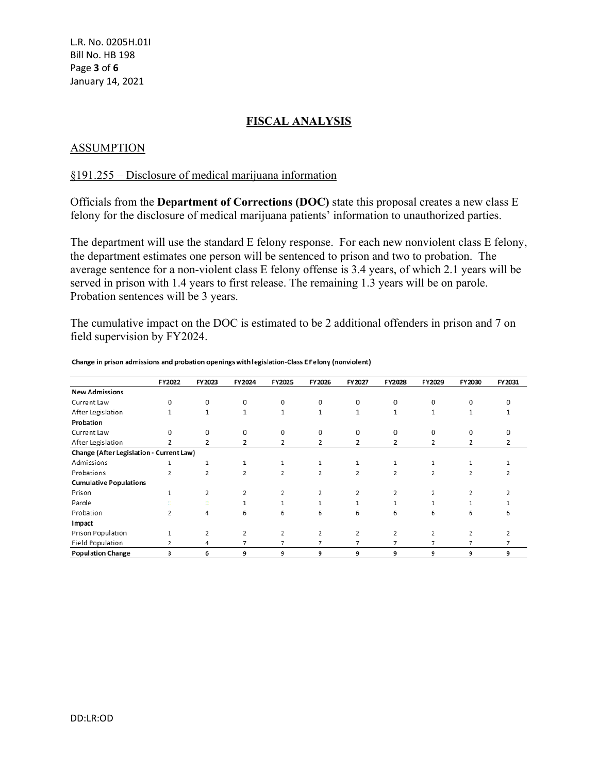## **FISCAL ANALYSIS**

### ASSUMPTION

#### §191.255 – Disclosure of medical marijuana information

Officials from the **Department of Corrections (DOC)** state this proposal creates a new class E felony for the disclosure of medical marijuana patients' information to unauthorized parties.

The department will use the standard E felony response. For each new nonviolent class E felony, the department estimates one person will be sentenced to prison and two to probation. The average sentence for a non-violent class E felony offense is 3.4 years, of which 2.1 years will be served in prison with 1.4 years to first release. The remaining 1.3 years will be on parole. Probation sentences will be 3 years.

The cumulative impact on the DOC is estimated to be 2 additional offenders in prison and 7 on field supervision by FY2024.

|                                          | FY2022         | FY 2023      | FY2024         | FY2025         | FY 2026        | FY2027 | FY2028         | FY2029         | FY 2030        | FY2031 |
|------------------------------------------|----------------|--------------|----------------|----------------|----------------|--------|----------------|----------------|----------------|--------|
| <b>New Admissions</b>                    |                |              |                |                |                |        |                |                |                |        |
| Current Law                              | $\overline{0}$ | $\Omega$     | $\Omega$       | $\Omega$       | $\Omega$       | 0      | $\mathbf{0}$   | $\Omega$       | $\Omega$       |        |
| After Legislation                        | 1              | $\mathbf{1}$ | 1              | 1              |                |        | 1              | 1              |                |        |
| Probation                                |                |              |                |                |                |        |                |                |                |        |
| Current Law                              | $\mathbf 0$    | $\Omega$     | $\Omega$       | $\Omega$       | 0              | 0      | $\Omega$       | $\Omega$       | $\Omega$       |        |
| After Legislation                        | $\overline{2}$ | 2            | 2              | 2              | 2              | 2      | 2              | 2              | 2              | 2      |
| Change (After Legislation - Current Law) |                |              |                |                |                |        |                |                |                |        |
| Admissions                               |                | 1            | 1              | 1              |                |        |                | 1              |                |        |
| Probations                               | 2              | 2            | 2              | $\overline{2}$ | $\overline{2}$ | 2      | 2              | 2              | 2              | 2      |
| <b>Cumulative Populations</b>            |                |              |                |                |                |        |                |                |                |        |
| Prison                                   | 1              | 2            | $\overline{2}$ | 2              | 2              | 2      | 2              | 2              |                |        |
| Parole                                   | ALC:           | m.<br>0.01   | 1              |                |                |        |                |                |                |        |
| Probation                                | 2              | 4            | 6              | 6              | 6              | 6      | 6              | 6              | 6              |        |
| Impact                                   |                |              |                |                |                |        |                |                |                |        |
| Prison Population                        |                | 2            | 2              | $\overline{2}$ | 2              | 2      | $\overline{2}$ | 2              | 2              |        |
| Field Population                         | $\overline{2}$ | 4            | 7              | 7              | 7              | 7      | 7              | $\overline{7}$ | $\overline{7}$ |        |
| <b>Population Change</b>                 | 3              | 6            | 9              | 9              | 9              | 9      | 9              | 9              | 9              | 9      |

Change in prison admissions and probation openings with legislation-Class E Felony (nonviolent)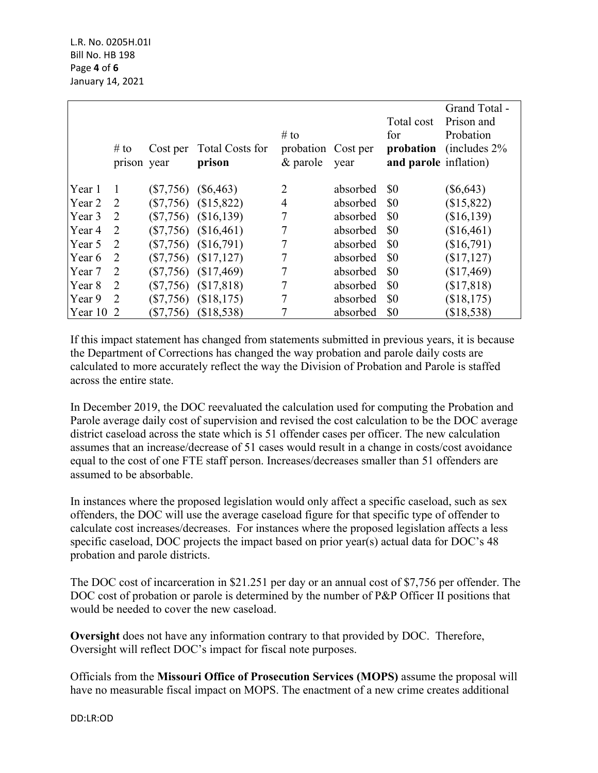|             | # to<br>prison year |             | Cost per Total Costs for<br>prison | $#$ to<br>probation Cost per<br>$\&$ parole | year     | Total cost<br>for<br>and parole inflation) | Grand Total -<br>Prison and<br>Probation<br><b>probation</b> (includes 2%) |
|-------------|---------------------|-------------|------------------------------------|---------------------------------------------|----------|--------------------------------------------|----------------------------------------------------------------------------|
| Year 1      | $\lceil$            |             | $(\$7,756)$ $(\$6,463)$            | $\overline{2}$                              | absorbed | \$0                                        | $(\$6,643)$                                                                |
| Year 2      | 2                   |             | $(\$7,756)$ $(\$15,822)$           | $\overline{4}$                              | absorbed | \$0                                        | (\$15,822)                                                                 |
| Year 3      | <sup>2</sup>        |             | $(\$7,756)$ $(\$16,139)$           | 7                                           | absorbed | \$0                                        | (\$16,139)                                                                 |
| Year 4      | 2                   |             | $(\$7,756)$ $(\$16,461)$           | 7                                           | absorbed | \$0                                        | (\$16,461)                                                                 |
| Year 5      | 2                   |             | $(\$7,756)$ $(\$16,791)$           | 7                                           | absorbed | \$0                                        | (\$16,791)                                                                 |
| Year 6      | <sup>2</sup>        |             | $(\$7,756)$ $(\$17,127)$           | 7                                           | absorbed | \$0                                        | (\$17,127)                                                                 |
| Year 7      | 2                   |             | $(\$7,756)$ $(\$17,469)$           | 7                                           | absorbed | \$0                                        | (\$17,469)                                                                 |
| Year 8      | 2                   |             | $(\$7,756)$ $(\$17,818)$           |                                             | absorbed | \$0                                        | (\$17,818)                                                                 |
| Year 9      | $\overline{2}$      |             | $(\$7,756)$ $(\$18,175)$           |                                             | absorbed | \$0                                        | (\$18,175)                                                                 |
| $Year 10$ 2 |                     | $(\$7,756)$ | (\$18,538)                         |                                             | absorbed | \$0                                        | (\$18,538)                                                                 |

If this impact statement has changed from statements submitted in previous years, it is because the Department of Corrections has changed the way probation and parole daily costs are calculated to more accurately reflect the way the Division of Probation and Parole is staffed across the entire state.

In December 2019, the DOC reevaluated the calculation used for computing the Probation and Parole average daily cost of supervision and revised the cost calculation to be the DOC average district caseload across the state which is 51 offender cases per officer. The new calculation assumes that an increase/decrease of 51 cases would result in a change in costs/cost avoidance equal to the cost of one FTE staff person. Increases/decreases smaller than 51 offenders are assumed to be absorbable.

In instances where the proposed legislation would only affect a specific caseload, such as sex offenders, the DOC will use the average caseload figure for that specific type of offender to calculate cost increases/decreases. For instances where the proposed legislation affects a less specific caseload, DOC projects the impact based on prior year(s) actual data for DOC's 48 probation and parole districts.

The DOC cost of incarceration in \$21.251 per day or an annual cost of \$7,756 per offender. The DOC cost of probation or parole is determined by the number of P&P Officer II positions that would be needed to cover the new caseload.

**Oversight** does not have any information contrary to that provided by DOC. Therefore, Oversight will reflect DOC's impact for fiscal note purposes.

Officials from the **Missouri Office of Prosecution Services (MOPS)** assume the proposal will have no measurable fiscal impact on MOPS. The enactment of a new crime creates additional

DD:LR:OD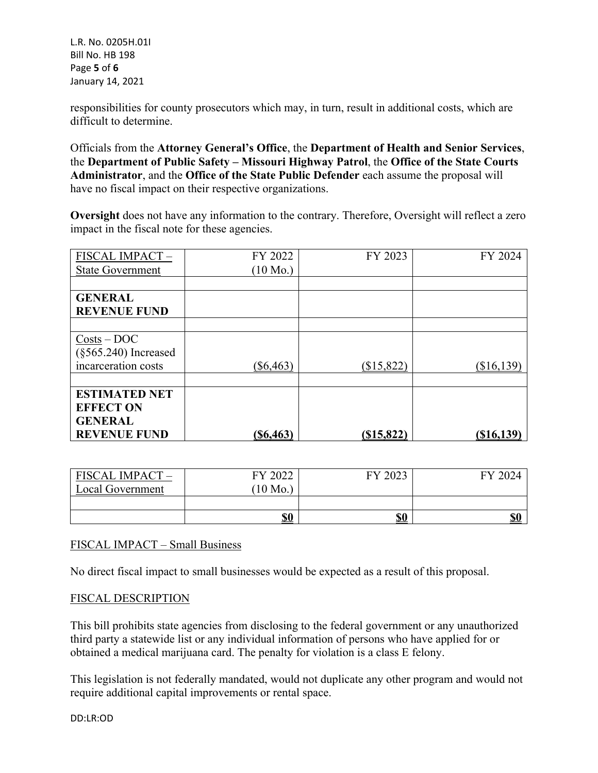L.R. No. 0205H.01I Bill No. HB 198 Page **5** of **6** January 14, 2021

responsibilities for county prosecutors which may, in turn, result in additional costs, which are difficult to determine.

Officials from the **Attorney General's Office**, the **Department of Health and Senior Services**, the **Department of Public Safety – Missouri Highway Patrol**, the **Office of the State Courts Administrator**, and the **Office of the State Public Defender** each assume the proposal will have no fiscal impact on their respective organizations.

**Oversight** does not have any information to the contrary. Therefore, Oversight will reflect a zero impact in the fiscal note for these agencies.

| FISCAL IMPACT-           | FY 2022            | FY 2023       | FY 2024      |
|--------------------------|--------------------|---------------|--------------|
| <b>State Government</b>  | $(10 \text{ Mo.})$ |               |              |
|                          |                    |               |              |
| <b>GENERAL</b>           |                    |               |              |
| <b>REVENUE FUND</b>      |                    |               |              |
|                          |                    |               |              |
| $Costs - DOC$            |                    |               |              |
| $(\S 565.240)$ Increased |                    |               |              |
| incarceration costs      | $(\$6,463)$        | (\$15,822)    | $(\$16,139)$ |
|                          |                    |               |              |
| <b>ESTIMATED NET</b>     |                    |               |              |
| <b>EFFECT ON</b>         |                    |               |              |
| <b>GENERAL</b>           |                    |               |              |
| <b>REVENUE FUND</b>      | (S6, 463)          | $($ \$15,822) | $(\$16,139)$ |

| FISCAL IMPACT-   | 12022<br>FY | 2023<br>FV                            | FY 2024    |
|------------------|-------------|---------------------------------------|------------|
| Local Government | $10$ Mo.    |                                       |            |
|                  |             |                                       |            |
|                  | <u>\$0</u>  | $\underline{\mathbb{S}}\underline{0}$ | <b>\$0</b> |

# FISCAL IMPACT – Small Business

No direct fiscal impact to small businesses would be expected as a result of this proposal.

### FISCAL DESCRIPTION

This bill prohibits state agencies from disclosing to the federal government or any unauthorized third party a statewide list or any individual information of persons who have applied for or obtained a medical marijuana card. The penalty for violation is a class E felony.

This legislation is not federally mandated, would not duplicate any other program and would not require additional capital improvements or rental space.

DD:LR:OD